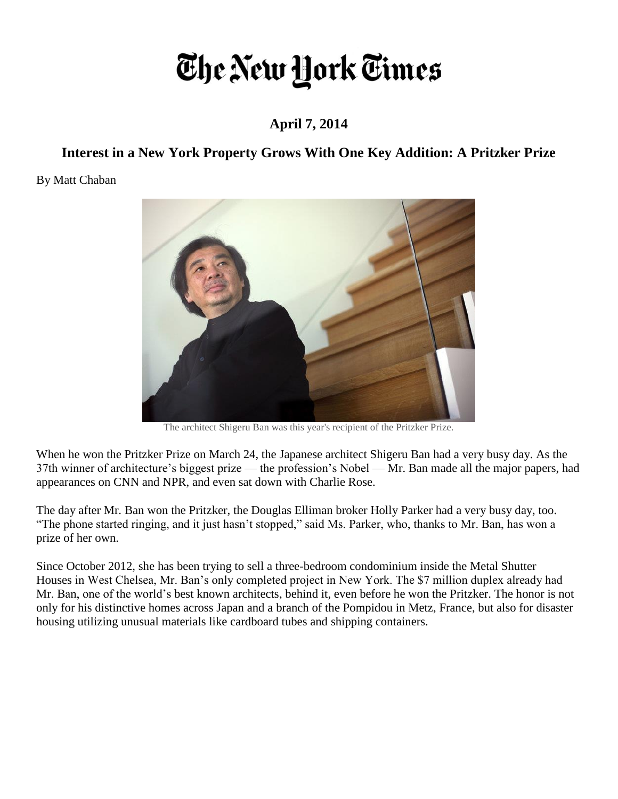## The New York Times

**April 7, 2014**

## **Interest in a New York Property Grows With One Key Addition: A Pritzker Prize**

By Matt Chaban



The architect Shigeru Ban was this year's recipient of the Pritzker Prize.

When he won the Pritzker Prize on March 24, the Japanese architect Shigeru Ban had a very busy day. As the 37th winner of architecture's biggest prize — the profession's Nobel — Mr. Ban made all the major papers, had appearances on CNN and NPR, and even sat down with Charlie Rose.

The day after Mr. Ban won the Pritzker, the Douglas Elliman broker Holly Parker had a very busy day, too. "The phone started ringing, and it just hasn't stopped," said Ms. Parker, who, thanks to Mr. Ban, has won a prize of her own.

Since October 2012, she has been trying to sell a three-bedroom condominium inside the Metal Shutter Houses in West Chelsea, Mr. Ban's only completed project in New York. The \$7 million duplex already had Mr. Ban, one of the world's best known architects, behind it, even before he won the Pritzker. The honor is not only for his distinctive homes across Japan and a branch of the Pompidou in Metz, France, but also for disaster housing utilizing unusual materials like cardboard tubes and shipping containers.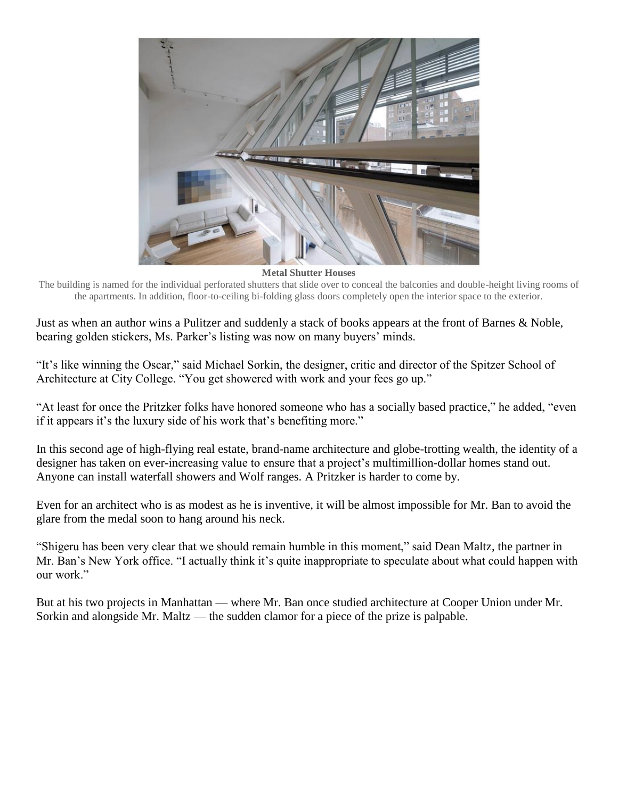

**Metal Shutter Houses**

The building is named for the individual perforated shutters that slide over to conceal the balconies and double-height living rooms of the apartments. In addition, floor-to-ceiling bi-folding glass doors completely open the interior space to the exterior.

Just as when an author wins a Pulitzer and suddenly a stack of books appears at the front of Barnes & Noble, bearing golden stickers, Ms. Parker's listing was now on many buyers' minds.

"It's like winning the Oscar," said Michael Sorkin, the designer, critic and director of the Spitzer School of Architecture at City College. "You get showered with work and your fees go up."

"At least for once the Pritzker folks have honored someone who has a socially based practice," he added, "even if it appears it's the luxury side of his work that's benefiting more."

In this second age of high-flying real estate, brand-name architecture and globe-trotting wealth, the identity of a designer has taken on ever-increasing value to ensure that a project's multimillion-dollar homes stand out. Anyone can install waterfall showers and Wolf ranges. A Pritzker is harder to come by.

Even for an architect who is as modest as he is inventive, it will be almost impossible for Mr. Ban to avoid the glare from the medal soon to hang around his neck.

"Shigeru has been very clear that we should remain humble in this moment," said Dean Maltz, the partner in Mr. Ban's New York office. "I actually think it's quite inappropriate to speculate about what could happen with our work."

But at his two projects in Manhattan — where Mr. Ban once studied architecture at Cooper Union under Mr. Sorkin and alongside Mr. Maltz — the sudden clamor for a piece of the prize is palpable.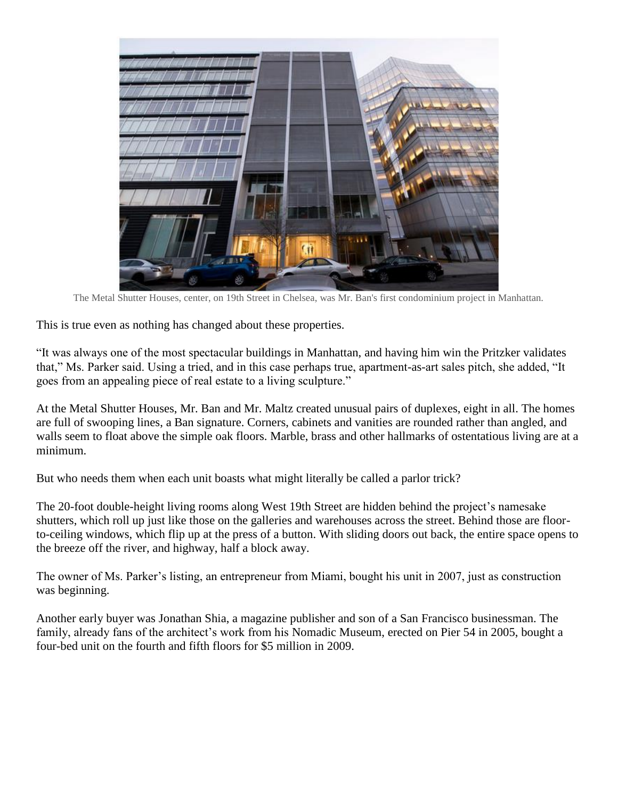

The Metal Shutter Houses, center, on 19th Street in Chelsea, was Mr. Ban's first condominium project in Manhattan.

This is true even as nothing has changed about these properties.

"It was always one of the most spectacular buildings in Manhattan, and having him win the Pritzker validates that," Ms. Parker said. Using a tried, and in this case perhaps true, apartment-as-art sales pitch, she added, "It goes from an appealing piece of real estate to a living sculpture."

At the Metal Shutter Houses, Mr. Ban and Mr. Maltz created unusual pairs of duplexes, eight in all. The homes are full of swooping lines, a Ban signature. Corners, cabinets and vanities are rounded rather than angled, and walls seem to float above the simple oak floors. Marble, brass and other hallmarks of ostentatious living are at a minimum.

But who needs them when each unit boasts what might literally be called a parlor trick?

The 20-foot double-height living rooms along West 19th Street are hidden behind the project's namesake shutters, which roll up just like those on the galleries and warehouses across the street. Behind those are floorto-ceiling windows, which flip up at the press of a button. With sliding doors out back, the entire space opens to the breeze off the river, and highway, half a block away.

The owner of Ms. Parker's listing, an entrepreneur from Miami, bought his unit in 2007, just as construction was beginning.

Another early buyer was Jonathan Shia, a magazine publisher and son of a San Francisco businessman. The family, already fans of the architect's work from his Nomadic Museum, erected on Pier 54 in 2005, bought a four-bed unit on the fourth and fifth floors for \$5 million in 2009.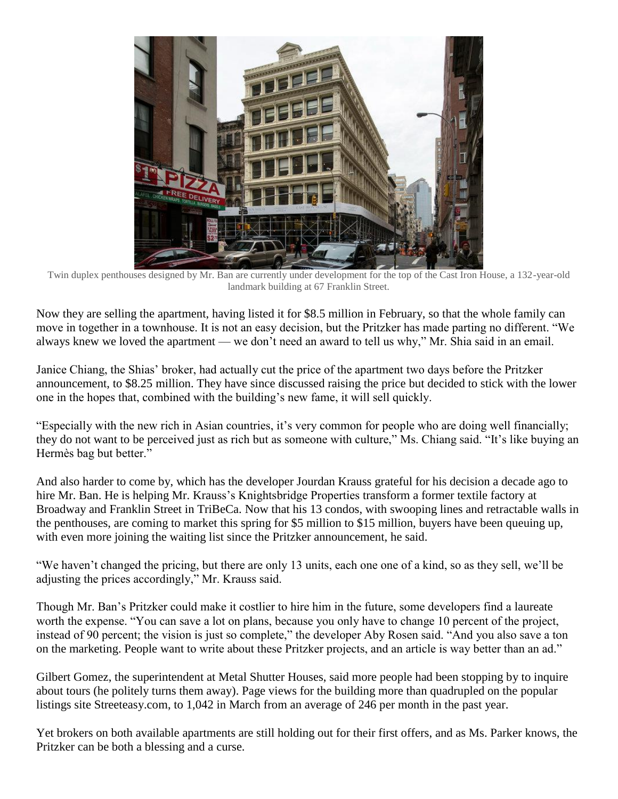

Twin duplex penthouses designed by Mr. Ban are currently under development for the top of the Cast Iron House, a 132-year-old landmark building at 67 Franklin Street.

Now they are selling the apartment, having listed it for \$8.5 million in February, so that the whole family can move in together in a townhouse. It is not an easy decision, but the Pritzker has made parting no different. "We always knew we loved the apartment — we don't need an award to tell us why," Mr. Shia said in an email.

Janice Chiang, the Shias' broker, had actually cut the price of the apartment two days before the Pritzker announcement, to \$8.25 million. They have since discussed raising the price but decided to stick with the lower one in the hopes that, combined with the building's new fame, it will sell quickly.

"Especially with the new rich in Asian countries, it's very common for people who are doing well financially; they do not want to be perceived just as rich but as someone with culture," Ms. Chiang said. "It's like buying an Hermès bag but better."

And also harder to come by, which has the developer Jourdan Krauss grateful for his decision a decade ago to hire Mr. Ban. He is helping Mr. Krauss's Knightsbridge Properties transform a former textile factory at Broadway and Franklin Street in TriBeCa. Now that his 13 condos, with swooping lines and retractable walls in the penthouses, are coming to market this spring for \$5 million to \$15 million, buyers have been queuing up, with even more joining the waiting list since the Pritzker announcement, he said.

"We haven't changed the pricing, but there are only 13 units, each one one of a kind, so as they sell, we'll be adjusting the prices accordingly," Mr. Krauss said.

Though Mr. Ban's Pritzker could make it costlier to hire him in the future, some developers find a laureate worth the expense. "You can save a lot on plans, because you only have to change 10 percent of the project, instead of 90 percent; the vision is just so complete," the developer Aby Rosen said. "And you also save a ton on the marketing. People want to write about these Pritzker projects, and an article is way better than an ad."

Gilbert Gomez, the superintendent at Metal Shutter Houses, said more people had been stopping by to inquire about tours (he politely turns them away). Page views for the building more than quadrupled on the popular listings site Streeteasy.com, to 1,042 in March from an average of 246 per month in the past year.

Yet brokers on both available apartments are still holding out for their first offers, and as Ms. Parker knows, the Pritzker can be both a blessing and a curse.